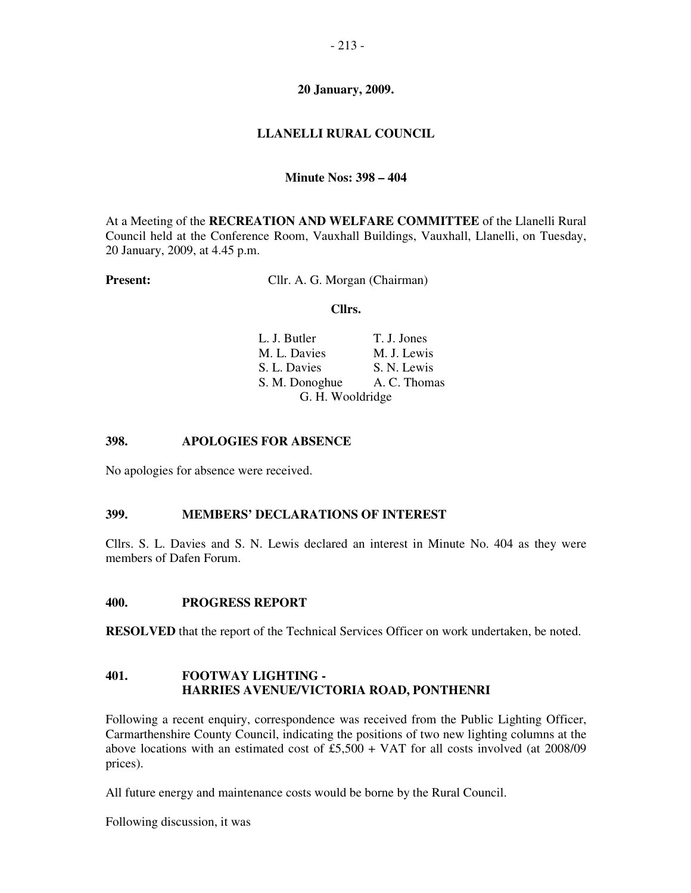# - 213 -

### **20 January, 2009.**

# **LLANELLI RURAL COUNCIL**

### **Minute Nos: 398 – 404**

At a Meeting of the **RECREATION AND WELFARE COMMITTEE** of the Llanelli Rural Council held at the Conference Room, Vauxhall Buildings, Vauxhall, Llanelli, on Tuesday, 20 January, 2009, at 4.45 p.m.

**Present:** Cllr. A. G. Morgan (Chairman)

### **Cllrs.**

| L. J. Butler     | T. J. Jones  |
|------------------|--------------|
| M. L. Davies     | M. J. Lewis  |
| S. L. Davies     | S. N. Lewis  |
| S. M. Donoghue   | A. C. Thomas |
| G. H. Wooldridge |              |

### **398. APOLOGIES FOR ABSENCE**

No apologies for absence were received.

### **399. MEMBERS' DECLARATIONS OF INTEREST**

Cllrs. S. L. Davies and S. N. Lewis declared an interest in Minute No. 404 as they were members of Dafen Forum.

### **400. PROGRESS REPORT**

**RESOLVED** that the report of the Technical Services Officer on work undertaken, be noted.

# **401. FOOTWAY LIGHTING - HARRIES AVENUE/VICTORIA ROAD, PONTHENRI**

Following a recent enquiry, correspondence was received from the Public Lighting Officer, Carmarthenshire County Council, indicating the positions of two new lighting columns at the above locations with an estimated cost of  $£5,500 + VAT$  for all costs involved (at 2008/09 prices).

All future energy and maintenance costs would be borne by the Rural Council.

Following discussion, it was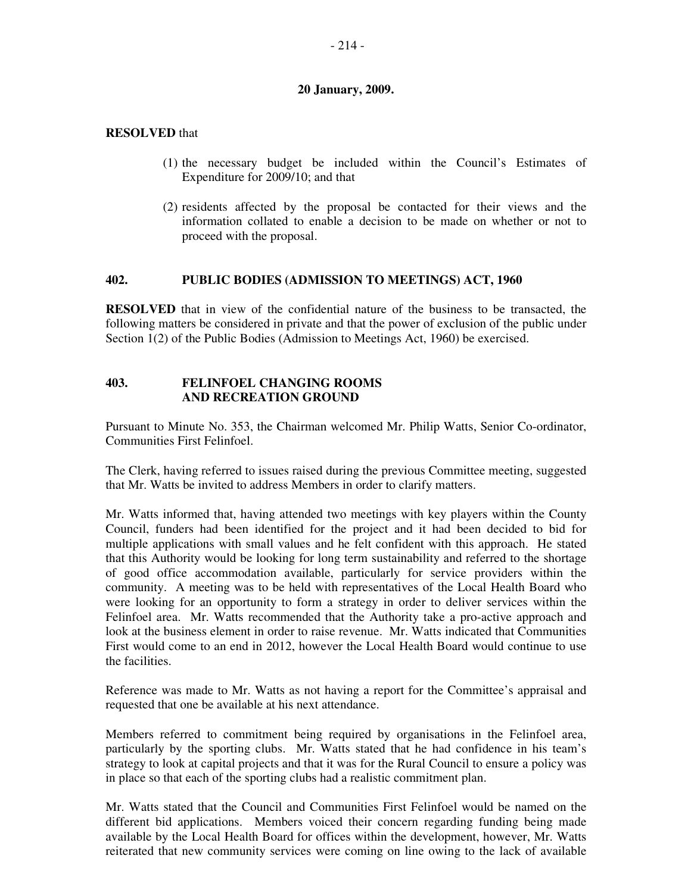$-214-$ 

# **20 January, 2009.**

# **RESOLVED** that

- (1) the necessary budget be included within the Council's Estimates of Expenditure for 2009/10; and that
- (2) residents affected by the proposal be contacted for their views and the information collated to enable a decision to be made on whether or not to proceed with the proposal.

# **402. PUBLIC BODIES (ADMISSION TO MEETINGS) ACT, 1960**

**RESOLVED** that in view of the confidential nature of the business to be transacted, the following matters be considered in private and that the power of exclusion of the public under Section 1(2) of the Public Bodies (Admission to Meetings Act, 1960) be exercised.

# **403. FELINFOEL CHANGING ROOMS AND RECREATION GROUND**

Pursuant to Minute No. 353, the Chairman welcomed Mr. Philip Watts, Senior Co-ordinator, Communities First Felinfoel.

The Clerk, having referred to issues raised during the previous Committee meeting, suggested that Mr. Watts be invited to address Members in order to clarify matters.

Mr. Watts informed that, having attended two meetings with key players within the County Council, funders had been identified for the project and it had been decided to bid for multiple applications with small values and he felt confident with this approach. He stated that this Authority would be looking for long term sustainability and referred to the shortage of good office accommodation available, particularly for service providers within the community. A meeting was to be held with representatives of the Local Health Board who were looking for an opportunity to form a strategy in order to deliver services within the Felinfoel area. Mr. Watts recommended that the Authority take a pro-active approach and look at the business element in order to raise revenue. Mr. Watts indicated that Communities First would come to an end in 2012, however the Local Health Board would continue to use the facilities.

Reference was made to Mr. Watts as not having a report for the Committee's appraisal and requested that one be available at his next attendance.

Members referred to commitment being required by organisations in the Felinfoel area, particularly by the sporting clubs. Mr. Watts stated that he had confidence in his team's strategy to look at capital projects and that it was for the Rural Council to ensure a policy was in place so that each of the sporting clubs had a realistic commitment plan.

Mr. Watts stated that the Council and Communities First Felinfoel would be named on the different bid applications. Members voiced their concern regarding funding being made available by the Local Health Board for offices within the development, however, Mr. Watts reiterated that new community services were coming on line owing to the lack of available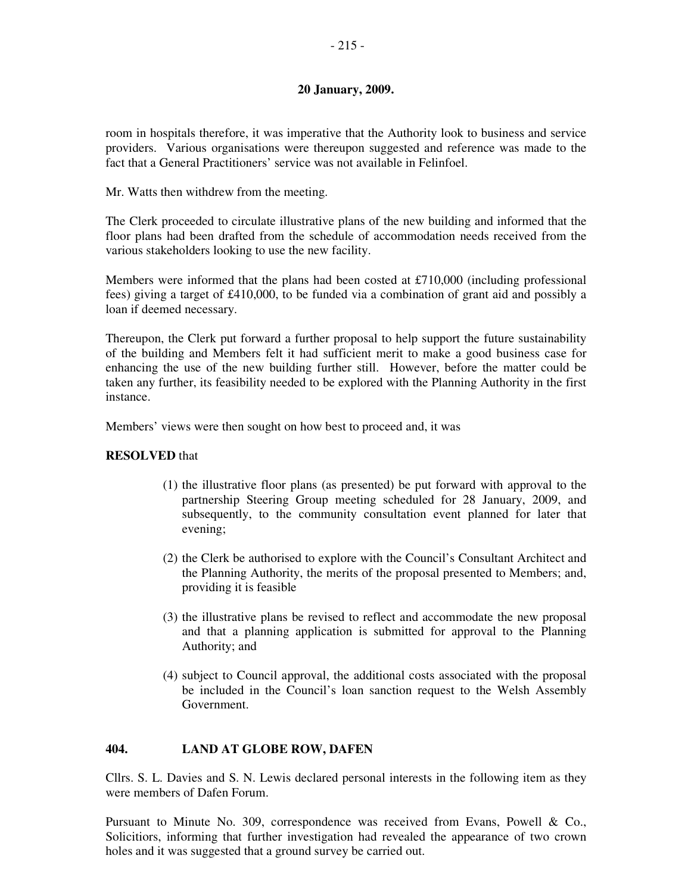# **20 January, 2009.**

room in hospitals therefore, it was imperative that the Authority look to business and service providers. Various organisations were thereupon suggested and reference was made to the fact that a General Practitioners' service was not available in Felinfoel.

Mr. Watts then withdrew from the meeting.

The Clerk proceeded to circulate illustrative plans of the new building and informed that the floor plans had been drafted from the schedule of accommodation needs received from the various stakeholders looking to use the new facility.

Members were informed that the plans had been costed at £710,000 (including professional fees) giving a target of £410,000, to be funded via a combination of grant aid and possibly a loan if deemed necessary.

Thereupon, the Clerk put forward a further proposal to help support the future sustainability of the building and Members felt it had sufficient merit to make a good business case for enhancing the use of the new building further still. However, before the matter could be taken any further, its feasibility needed to be explored with the Planning Authority in the first instance.

Members' views were then sought on how best to proceed and, it was

# **RESOLVED** that

- (1) the illustrative floor plans (as presented) be put forward with approval to the partnership Steering Group meeting scheduled for 28 January, 2009, and subsequently, to the community consultation event planned for later that evening;
- (2) the Clerk be authorised to explore with the Council's Consultant Architect and the Planning Authority, the merits of the proposal presented to Members; and, providing it is feasible
- (3) the illustrative plans be revised to reflect and accommodate the new proposal and that a planning application is submitted for approval to the Planning Authority; and
- (4) subject to Council approval, the additional costs associated with the proposal be included in the Council's loan sanction request to the Welsh Assembly Government.

# **404. LAND AT GLOBE ROW, DAFEN**

Cllrs. S. L. Davies and S. N. Lewis declared personal interests in the following item as they were members of Dafen Forum.

Pursuant to Minute No. 309, correspondence was received from Evans, Powell & Co., Solicitiors, informing that further investigation had revealed the appearance of two crown holes and it was suggested that a ground survey be carried out.